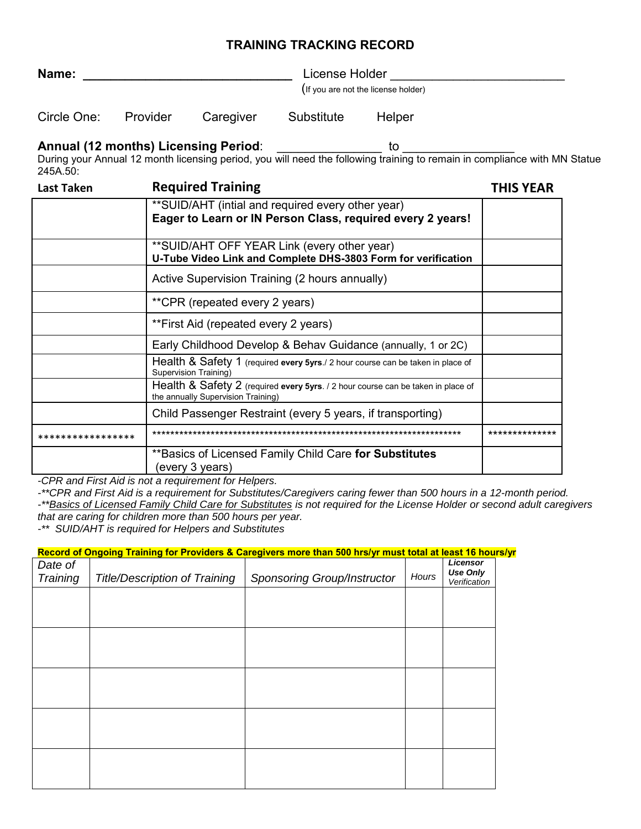## **TRAINING TRACKING RECORD**

| Name:<br>License Holder |  |
|-------------------------|--|
|-------------------------|--|

(If you are not the license holder)

| Circle One:<br>Substitute<br>Provider<br>Caregiver | Helper |
|----------------------------------------------------|--------|
|----------------------------------------------------|--------|

## **Annual (12 months) Licensing Period:** \_\_\_\_\_\_\_\_\_\_\_\_\_\_\_ to \_

During your Annual 12 month licensing period, you will need the following training to remain in compliance with MN Statue 245A.50:

| Last Taken        | <b>Required Training</b>                                                                                               | <b>THIS YEAR</b> |
|-------------------|------------------------------------------------------------------------------------------------------------------------|------------------|
|                   | **SUID/AHT (intial and required every other year)<br>Eager to Learn or IN Person Class, required every 2 years!        |                  |
|                   | **SUID/AHT OFF YEAR Link (every other year)<br>U-Tube Video Link and Complete DHS-3803 Form for verification           |                  |
|                   | Active Supervision Training (2 hours annually)                                                                         |                  |
|                   | **CPR (repeated every 2 years)                                                                                         |                  |
|                   | **First Aid (repeated every 2 years)                                                                                   |                  |
|                   | Early Childhood Develop & Behav Guidance (annually, 1 or 2C)                                                           |                  |
|                   | Health & Safety 1 (required every 5yrs./ 2 hour course can be taken in place of<br>Supervision Training)               |                  |
|                   | Health & Safety 2 (required every 5yrs. / 2 hour course can be taken in place of<br>the annually Supervision Training) |                  |
|                   | Child Passenger Restraint (every 5 years, if transporting)                                                             |                  |
| ***************** |                                                                                                                        |                  |
|                   | **Basics of Licensed Family Child Care for Substitutes<br>(every 3 years)                                              |                  |

*-CPR and First Aid is not a requirement for Helpers.* 

*-\*\*CPR and First Aid is a requirement for Substitutes/Caregivers caring fewer than 500 hours in a 12-month period.* 

*-\*\*Basics of Licensed Family Child Care for Substitutes is not required for the License Holder or second adult caregivers that are caring for children more than 500 hours per year.* 

*-\*\* SUID/AHT is required for Helpers and Substitutes* 

| Record of Ongoing Training for Providers & Caregivers more than 500 hrs/yr must total at least 16 hours/yr |                                      |                                    |       |                                             |  |
|------------------------------------------------------------------------------------------------------------|--------------------------------------|------------------------------------|-------|---------------------------------------------|--|
| Date of<br>Training                                                                                        | <b>Title/Description of Training</b> | <b>Sponsoring Group/Instructor</b> | Hours | Licensor<br><b>Use Only</b><br>Verification |  |
|                                                                                                            |                                      |                                    |       |                                             |  |
|                                                                                                            |                                      |                                    |       |                                             |  |
|                                                                                                            |                                      |                                    |       |                                             |  |
|                                                                                                            |                                      |                                    |       |                                             |  |
|                                                                                                            |                                      |                                    |       |                                             |  |
|                                                                                                            |                                      |                                    |       |                                             |  |
|                                                                                                            |                                      |                                    |       |                                             |  |
|                                                                                                            |                                      |                                    |       |                                             |  |